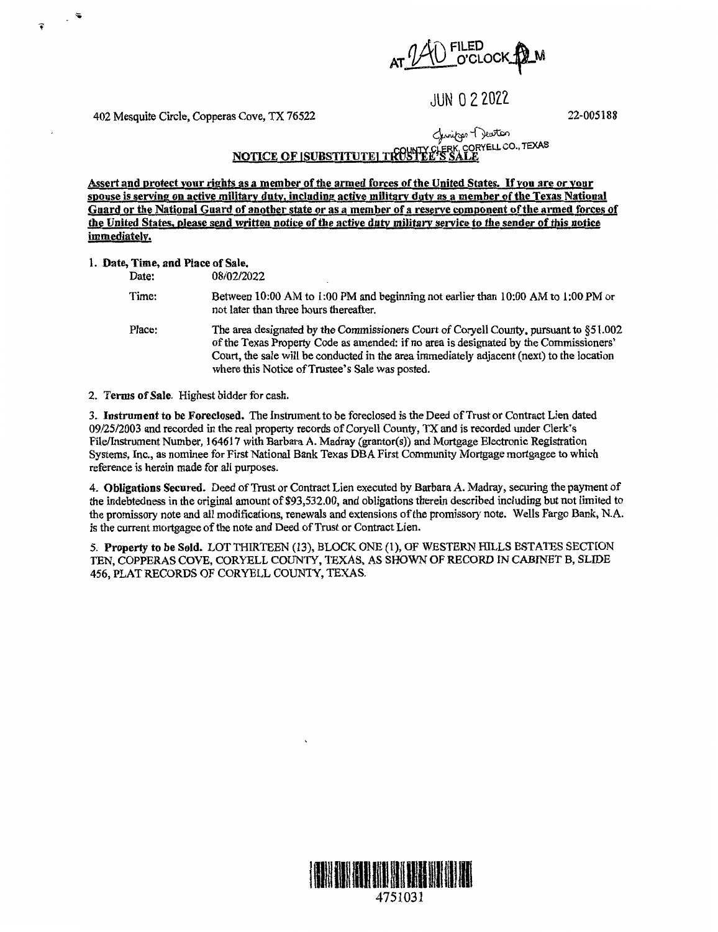$AT$   $140$  FILED  $O$  CLOCK  $M$ 

JUN O 2 2022

402 Mesquite Circle, Copperas Cove, TX 76522

22-005188

<u>notice of isubstitute| troshee's sale</u> Chwifor H Jewton<br>CLERK, CORYELL CO., TEXAS

**Assert and protect your rights as a member of the armed forces of the United States.** If **you are or your spouse is serving on active military duty, including active military duty as a member of the Texas National**  Guard or the National Guard of another state or as a member of a reserve component of the armed forces of **the United States, please send written notice of the active duty military service to the sender of this notice immediately.** 

## l. **Date, Time, and Place of Sale,**

Date: 08/02/2022

Time: Between 10:00 AM to 1:00 PM and beginning not earlier than 10:00 AM to 1:00 PM or not later than three hours thereafter.

Place: The area designated by the Commissioners Court of Coryell County, pursuant to §51.002 of the Texas Property Code as amended: ifno area is designated by the Commissioners' Court, the sale will be conducted in the area immediately adjacent (next) to the location where this Notice of Trustee's Sale was posted.

2. **Terms of Sale.** Highest bidder for cash.

3. **Instrument to be Foreclosed.** The Instrument to be foreclosed is the Deed of Trust or Contract Lien dated 09/25/2003 and recorded in the real property records of Coryell County, TX and is recorded under Clerk's File/Instrument Number, 164617 with Barbara A. Madray (grantor(s)) and Mortgage Electronic Registration Systems, Inc., as nominee for First National Bank Texas DBA First Community Mortgage mortgagee to which reference is herein made for all purposes.

4. **Obligations Secured.** Deed of Trust or Contract Lien executed by Barbara A. Madray, securing the payment of the indebtedness in the original amount of \$93,532.00, and obligations therein described including but not limited to the promissory note and all modifications, renewals and extensions of the promissory note. Wells Fargo Bank, N.A. is the current mortgagee of the note and Deed of Trust or Contract Lien.

*5.* **Property to be Sold.** LOT THIRTEEN (13), BLOCK ONE (1), OF WESTERN HILLS ESTATES SECTION TEN, COPPERAS COVE, CORYELL COUNTY, TEXAS, AS SHOWN OF RECORD IN CABINET B, SLIDE 456, PLAT RECORDS OF CORYELL COUNTY, TEXAS.